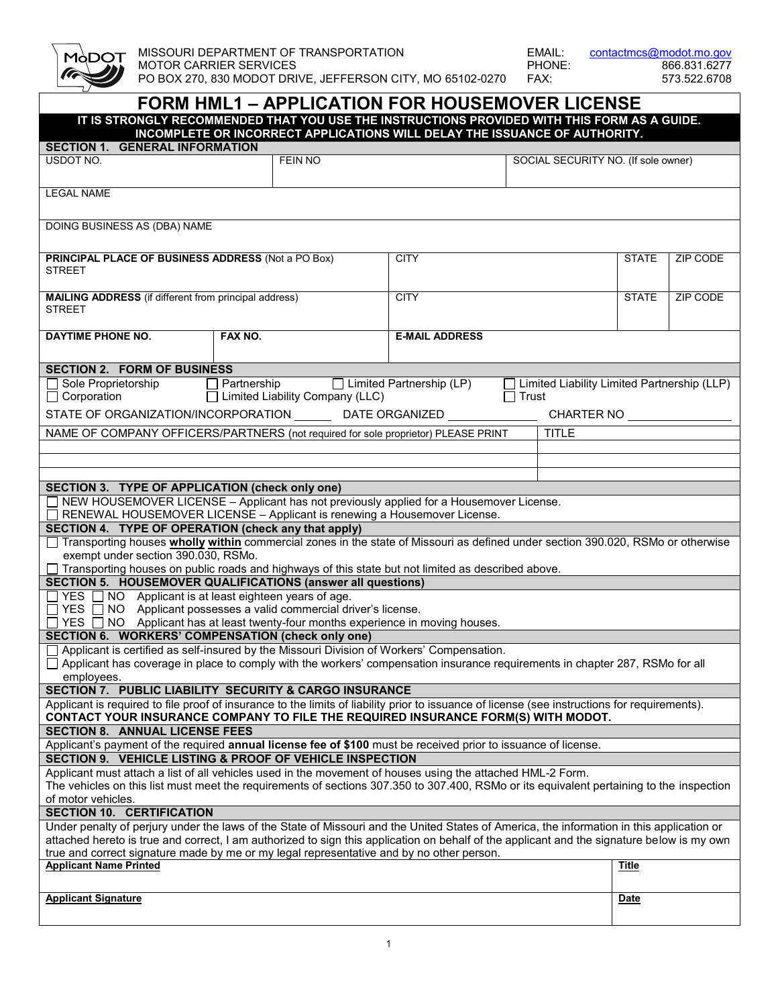

MISSOURI DEPARTMENT OF TRANSPORTATION EMAIL: contactmcs@modot.mo.gov<br>MOTOR CARRIER SERVICES PHONE: 866.831.6277 MOTOR CARRIER SERVICES<br>PHONE: 866.831.6277<br>PO BOX 270, 830 MODOT DRIVE, JEFFERSON CITY, MO 65102-0270 FAX: 573.522.6708 PO BOX 270, 830 MODOT DRIVE, JEFFERSON CITY, MO 65102-0270

| IT IS STRONGLY RECOMMENDED THAT YOU USE THE INSTRUCTIONS PROVIDED WITH THIS FORM AS A GUIDE.<br>INCOMPLETE OR INCORRECT APPLICATIONS WILL DELAY THE ISSUANCE OF AUTHORITY.                                                                                                              |                                        |                       |                                                    |                                     |          |  |  |  |  |
|-----------------------------------------------------------------------------------------------------------------------------------------------------------------------------------------------------------------------------------------------------------------------------------------|----------------------------------------|-----------------------|----------------------------------------------------|-------------------------------------|----------|--|--|--|--|
| <b>SECTION 1. GENERAL INFORMATION</b>                                                                                                                                                                                                                                                   |                                        |                       |                                                    |                                     |          |  |  |  |  |
| USDOT NO.                                                                                                                                                                                                                                                                               | <b>FEIN NO</b>                         |                       |                                                    | SOCIAL SECURITY NO. (If sole owner) |          |  |  |  |  |
|                                                                                                                                                                                                                                                                                         |                                        |                       |                                                    |                                     |          |  |  |  |  |
| <b>LEGAL NAME</b>                                                                                                                                                                                                                                                                       |                                        |                       |                                                    |                                     |          |  |  |  |  |
|                                                                                                                                                                                                                                                                                         |                                        |                       |                                                    |                                     |          |  |  |  |  |
| DOING BUSINESS AS (DBA) NAME                                                                                                                                                                                                                                                            |                                        |                       |                                                    |                                     |          |  |  |  |  |
|                                                                                                                                                                                                                                                                                         |                                        |                       |                                                    |                                     |          |  |  |  |  |
| <b>PRINCIPAL PLACE OF BUSINESS ADDRESS (Not a PO Box)</b>                                                                                                                                                                                                                               |                                        | <b>CITY</b>           |                                                    | <b>STATE</b>                        | ZIP CODE |  |  |  |  |
| <b>STREET</b>                                                                                                                                                                                                                                                                           |                                        |                       |                                                    |                                     |          |  |  |  |  |
| <b>MAILING ADDRESS</b> (if different from principal address)                                                                                                                                                                                                                            |                                        | <b>CITY</b>           |                                                    | <b>STATE</b>                        | ZIP CODE |  |  |  |  |
| <b>STREET</b>                                                                                                                                                                                                                                                                           |                                        |                       |                                                    |                                     |          |  |  |  |  |
| <b>DAYTIME PHONE NO.</b>                                                                                                                                                                                                                                                                | FAX NO.                                | <b>E-MAIL ADDRESS</b> |                                                    |                                     |          |  |  |  |  |
|                                                                                                                                                                                                                                                                                         |                                        |                       |                                                    |                                     |          |  |  |  |  |
| <b>SECTION 2. FORM OF BUSINESS</b>                                                                                                                                                                                                                                                      |                                        |                       |                                                    |                                     |          |  |  |  |  |
| $\Box$ Sole Proprietorship<br>$\perp$                                                                                                                                                                                                                                                   | Partnership   Limited Partnership (LP) |                       | $\Box$ Limited Liability Limited Partnership (LLP) |                                     |          |  |  |  |  |
| $\Box$ Corporation                                                                                                                                                                                                                                                                      | □ Limited Liability Company (LLC)      |                       | $\Box$ Trust                                       |                                     |          |  |  |  |  |
| STATE OF ORGANIZATION/INCORPORATION DATE ORGANIZED                                                                                                                                                                                                                                      |                                        |                       | CHARTER NO                                         |                                     |          |  |  |  |  |
| NAME OF COMPANY OFFICERS/PARTNERS (not required for sole proprietor) PLEASE PRINT                                                                                                                                                                                                       |                                        |                       | <b>TITLE</b>                                       |                                     |          |  |  |  |  |
|                                                                                                                                                                                                                                                                                         |                                        |                       |                                                    |                                     |          |  |  |  |  |
|                                                                                                                                                                                                                                                                                         |                                        |                       |                                                    |                                     |          |  |  |  |  |
| SECTION 3. TYPE OF APPLICATION (check only one)                                                                                                                                                                                                                                         |                                        |                       |                                                    |                                     |          |  |  |  |  |
| $\Box$ NEW HOUSEMOVER LICENSE – Applicant has not previously applied for a Housemover License.                                                                                                                                                                                          |                                        |                       |                                                    |                                     |          |  |  |  |  |
| $\Box$ RENEWAL HOUSEMOVER LICENSE – Applicant is renewing a Housemover License.<br>SECTION 4. TYPE OF OPERATION (check any that apply)                                                                                                                                                  |                                        |                       |                                                    |                                     |          |  |  |  |  |
| Transporting houses <b>wholly within</b> commercial zones in the state of Missouri as defined under section 390.020, RSMo or otherwise                                                                                                                                                  |                                        |                       |                                                    |                                     |          |  |  |  |  |
| exempt under section 390.030, RSMo.                                                                                                                                                                                                                                                     |                                        |                       |                                                    |                                     |          |  |  |  |  |
| □ Transporting houses on public roads and highways of this state but not limited as described above.                                                                                                                                                                                    |                                        |                       |                                                    |                                     |          |  |  |  |  |
| <b>SECTION 5. HOUSEMOVER QUALIFICATIONS (answer all questions)</b><br>$\Box$ YES $\Box$ NO Applicant is at least eighteen years of age.                                                                                                                                                 |                                        |                       |                                                    |                                     |          |  |  |  |  |
| $\Box$ YES $\Box$ NO Applicant possesses a valid commercial driver's license.                                                                                                                                                                                                           |                                        |                       |                                                    |                                     |          |  |  |  |  |
| $YES \t{S}$ NO Applicant has at least twenty-four months experience in moving houses.                                                                                                                                                                                                   |                                        |                       |                                                    |                                     |          |  |  |  |  |
| <b>SECTION 6. WORKERS' COMPENSATION (check only one)</b><br>□ Applicant is certified as self-insured by the Missouri Division of Workers' Compensation.                                                                                                                                 |                                        |                       |                                                    |                                     |          |  |  |  |  |
| □ Applicant has coverage in place to comply with the workers' compensation insurance requirements in chapter 287, RSMo for all                                                                                                                                                          |                                        |                       |                                                    |                                     |          |  |  |  |  |
| employees.                                                                                                                                                                                                                                                                              |                                        |                       |                                                    |                                     |          |  |  |  |  |
| SECTION 7. PUBLIC LIABILITY SECURITY & CARGO INSURANCE                                                                                                                                                                                                                                  |                                        |                       |                                                    |                                     |          |  |  |  |  |
| Applicant is required to file proof of insurance to the limits of liability prior to issuance of license (see instructions for requirements).<br>CONTACT YOUR INSURANCE COMPANY TO FILE THE REQUIRED INSURANCE FORM(S) WITH MODOT.                                                      |                                        |                       |                                                    |                                     |          |  |  |  |  |
| <b>SECTION 8. ANNUAL LICENSE FEES</b>                                                                                                                                                                                                                                                   |                                        |                       |                                                    |                                     |          |  |  |  |  |
| Applicant's payment of the required annual license fee of \$100 must be received prior to issuance of license.                                                                                                                                                                          |                                        |                       |                                                    |                                     |          |  |  |  |  |
| SECTION 9. VEHICLE LISTING & PROOF OF VEHICLE INSPECTION<br>Applicant must attach a list of all vehicles used in the movement of houses using the attached HML-2 Form.                                                                                                                  |                                        |                       |                                                    |                                     |          |  |  |  |  |
| The vehicles on this list must meet the requirements of sections 307.350 to 307.400, RSMo or its equivalent pertaining to the inspection                                                                                                                                                |                                        |                       |                                                    |                                     |          |  |  |  |  |
| of motor vehicles.                                                                                                                                                                                                                                                                      |                                        |                       |                                                    |                                     |          |  |  |  |  |
| <b>SECTION 10. CERTIFICATION</b>                                                                                                                                                                                                                                                        |                                        |                       |                                                    |                                     |          |  |  |  |  |
| Under penalty of perjury under the laws of the State of Missouri and the United States of America, the information in this application or<br>attached hereto is true and correct, I am authorized to sign this application on behalf of the applicant and the signature below is my own |                                        |                       |                                                    |                                     |          |  |  |  |  |
| true and correct signature made by me or my legal representative and by no other person.                                                                                                                                                                                                |                                        |                       |                                                    |                                     |          |  |  |  |  |
| <b>Applicant Name Printed</b>                                                                                                                                                                                                                                                           |                                        |                       |                                                    | <b>Title</b>                        |          |  |  |  |  |
|                                                                                                                                                                                                                                                                                         |                                        |                       |                                                    |                                     |          |  |  |  |  |
| <b>Applicant Signature</b>                                                                                                                                                                                                                                                              |                                        |                       |                                                    | <b>Date</b>                         |          |  |  |  |  |
|                                                                                                                                                                                                                                                                                         |                                        |                       |                                                    |                                     |          |  |  |  |  |